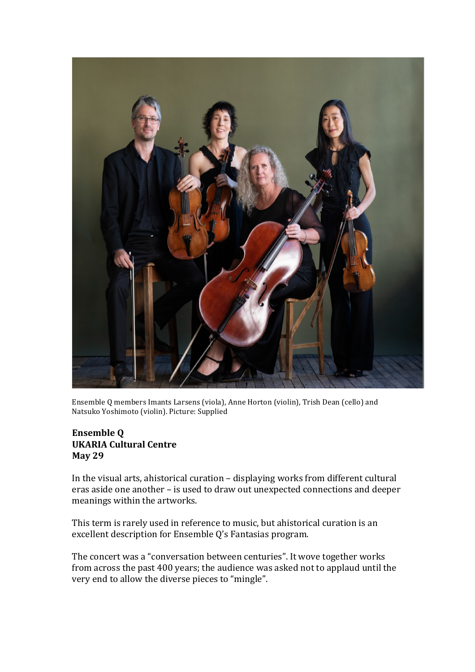

Ensemble Q members Imants Larsens (viola), Anne Horton (violin), Trish Dean (cello) and Natsuko Yoshimoto (violin). Picture: Supplied

## **Ensemble Q UKARIA Cultural Centre May 29**

In the visual arts, ahistorical curation  $-$  displaying works from different cultural eras aside one another - is used to draw out unexpected connections and deeper meanings within the artworks.

This term is rarely used in reference to music, but ahistorical curation is an excellent description for Ensemble Q's Fantasias program.

The concert was a "conversation between centuries". It wove together works from across the past 400 years; the audience was asked not to applaud until the very end to allow the diverse pieces to "mingle".